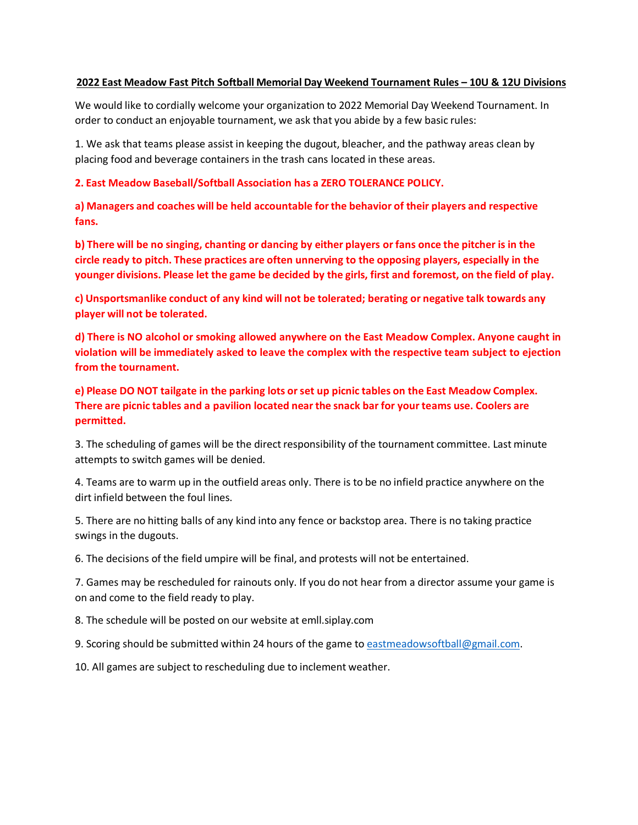### **2022 East Meadow Fast Pitch Softball Memorial Day Weekend Tournament Rules – 10U & 12U Divisions**

We would like to cordially welcome your organization to 2022 Memorial Day Weekend Tournament. In order to conduct an enjoyable tournament, we ask that you abide by a few basic rules:

1. We ask that teams please assist in keeping the dugout, bleacher, and the pathway areas clean by placing food and beverage containers in the trash cans located in these areas.

### **2. East Meadow Baseball/Softball Association has a ZERO TOLERANCE POLICY.**

**a) Managers and coaches will be held accountable forthe behavior of their players and respective fans.**

b) There will be no singing, chanting or dancing by either players or fans once the pitcher is in the **circle ready to pitch. These practices are often unnerving to the opposing players, especially in the**  younger divisions. Please let the game be decided by the girls, first and foremost, on the field of play.

**c) Unsportsmanlike conduct of any kind will not be tolerated; berating or negative talk towards any player will not be tolerated.**

**d) There is NO alcohol or smoking allowed anywhere on the East Meadow Complex. Anyone caught in violation will be immediately asked to leave the complex with the respective team subject to ejection from the tournament.**

**e) Please DO NOT tailgate in the parking lots orset up picnic tables on the East Meadow Complex. There are picnic tables and a pavilion located near the snack bar for your teams use. Coolers are permitted.**

3. The scheduling of games will be the direct responsibility of the tournament committee. Last minute attempts to switch games will be denied.

4. Teams are to warm up in the outfield areas only. There is to be no infield practice anywhere on the dirt infield between the foul lines.

5. There are no hitting balls of any kind into any fence or backstop area. There is no taking practice swings in the dugouts.

6. The decisions of the field umpire will be final, and protests will not be entertained.

7. Games may be rescheduled for rainouts only. If you do not hear from a director assume your game is on and come to the field ready to play.

8. The schedule will be posted on our website at emll.siplay.com

9. Scoring should be submitted within 24 hours of the game to [eastmeadowsoftball@gmail.com.](mailto:eastmeadowsoftball@gmail.com)

10. All games are subject to rescheduling due to inclement weather.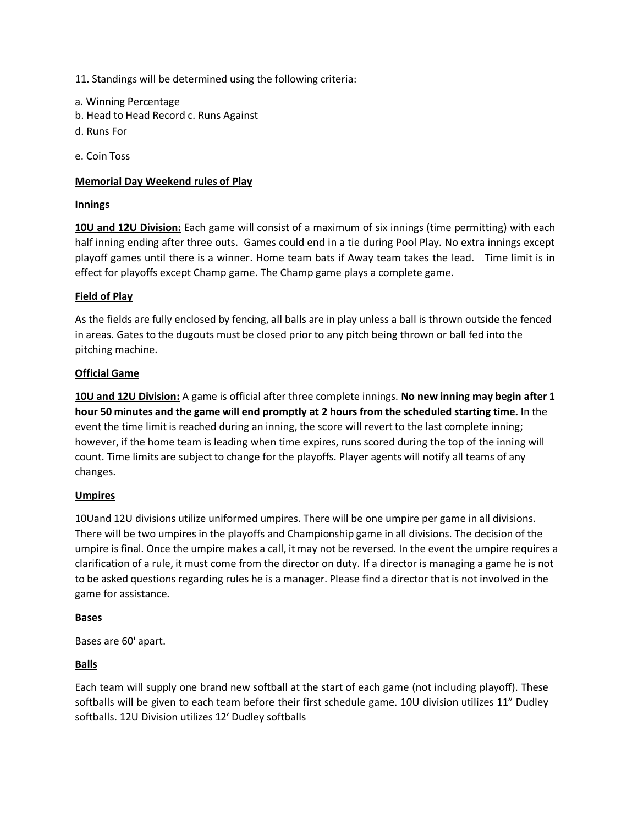11. Standings will be determined using the following criteria:

- a. Winning Percentage
- b. Head to Head Record c. Runs Against
- d. Runs For

e. Coin Toss

## **Memorial Day Weekend rules of Play**

### **Innings**

**10U and 12U Division:** Each game will consist of a maximum of six innings (time permitting) with each half inning ending after three outs. Games could end in a tie during Pool Play. No extra innings except playoff games until there is a winner. Home team bats if Away team takes the lead. Time limit is in effect for playoffs except Champ game. The Champ game plays a complete game.

### **Field of Play**

As the fields are fully enclosed by fencing, all balls are in play unless a ball is thrown outside the fenced in areas. Gates to the dugouts must be closed prior to any pitch being thrown or ball fed into the pitching machine.

### **Official Game**

**10U and 12U Division:** A game is official after three complete innings. **No new inning may begin after 1 hour 50 minutes and the game will end promptly at 2 hours from the scheduled starting time.** In the event the time limit is reached during an inning, the score will revert to the last complete inning; however, if the home team is leading when time expires, runs scored during the top of the inning will count. Time limits are subject to change for the playoffs. Player agents will notify all teams of any changes.

### **Umpires**

10Uand 12U divisions utilize uniformed umpires. There will be one umpire per game in all divisions. There will be two umpires in the playoffs and Championship game in all divisions. The decision of the umpire is final. Once the umpire makes a call, it may not be reversed. In the event the umpire requires a clarification of a rule, it must come from the director on duty. If a director is managing a game he is not to be asked questions regarding rules he is a manager. Please find a director that is not involved in the game for assistance.

### **Bases**

Bases are 60' apart.

### **Balls**

Each team will supply one brand new softball at the start of each game (not including playoff). These softballs will be given to each team before their first schedule game. 10U division utilizes 11" Dudley softballs. 12U Division utilizes 12' Dudley softballs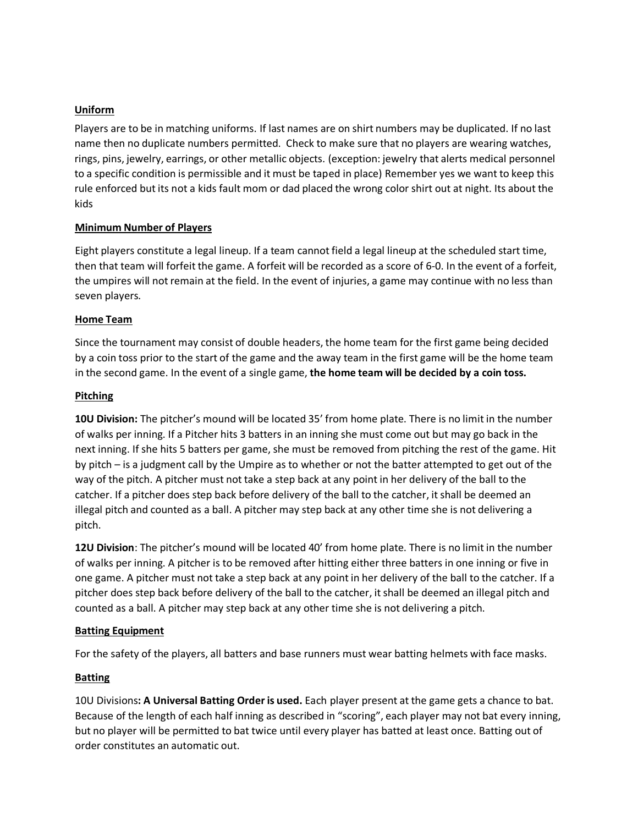## **Uniform**

Players are to be in matching uniforms. If last names are on shirt numbers may be duplicated. If no last name then no duplicate numbers permitted. Check to make sure that no players are wearing watches, rings, pins, jewelry, earrings, or other metallic objects. (exception: jewelry that alerts medical personnel to a specific condition is permissible and it must be taped in place) Remember yes we want to keep this rule enforced but its not a kids fault mom or dad placed the wrong color shirt out at night. Its about the kids

### **Minimum Number of Players**

Eight players constitute a legal lineup. If a team cannot field a legal lineup at the scheduled start time, then that team will forfeit the game. A forfeit will be recorded as a score of 6-0. In the event of a forfeit, the umpires will not remain at the field. In the event of injuries, a game may continue with no less than seven players.

## **Home Team**

Since the tournament may consist of double headers, the home team for the first game being decided by a coin toss prior to the start of the game and the away team in the first game will be the home team in the second game. In the event of a single game, **the home team will be decided by a coin toss.**

## **Pitching**

**10U Division:** The pitcher's mound will be located 35' from home plate. There is no limit in the number of walks per inning. If a Pitcher hits 3 batters in an inning she must come out but may go back in the next inning. If she hits 5 batters per game, she must be removed from pitching the rest of the game. Hit by pitch – is a judgment call by the Umpire as to whether or not the batter attempted to get out of the way of the pitch. A pitcher must not take a step back at any point in her delivery of the ball to the catcher. If a pitcher does step back before delivery of the ball to the catcher, it shall be deemed an illegal pitch and counted as a ball. A pitcher may step back at any other time she is not delivering a pitch.

**12U Division**: The pitcher's mound will be located 40' from home plate. There is no limit in the number of walks per inning. A pitcher is to be removed after hitting either three batters in one inning or five in one game. A pitcher must not take a step back at any point in her delivery of the ball to the catcher. If a pitcher does step back before delivery of the ball to the catcher, it shall be deemed an illegal pitch and counted as a ball. A pitcher may step back at any other time she is not delivering a pitch.

# **Batting Equipment**

For the safety of the players, all batters and base runners must wear batting helmets with face masks.

# **Batting**

10U Divisions**: A Universal Batting Order is used.** Each player present at the game gets a chance to bat. Because of the length of each half inning as described in "scoring", each player may not bat every inning, but no player will be permitted to bat twice until every player has batted at least once. Batting out of order constitutes an automatic out.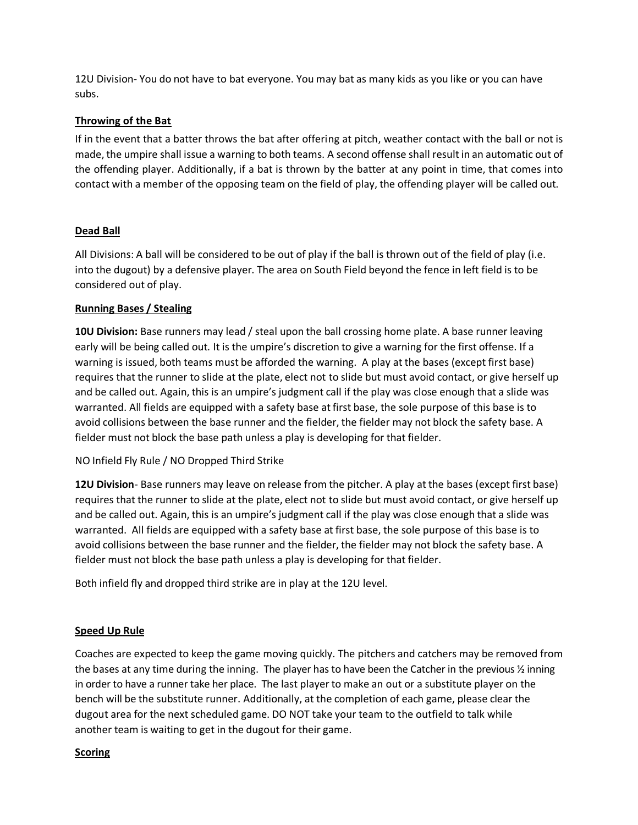12U Division- You do not have to bat everyone. You may bat as many kids as you like or you can have subs.

### **Throwing of the Bat**

If in the event that a batter throws the bat after offering at pitch, weather contact with the ball or not is made, the umpire shall issue a warning to both teams. A second offense shall result in an automatic out of the offending player. Additionally, if a bat is thrown by the batter at any point in time, that comes into contact with a member of the opposing team on the field of play, the offending player will be called out.

## **Dead Ball**

All Divisions: A ball will be considered to be out of play if the ball is thrown out of the field of play (i.e. into the dugout) by a defensive player. The area on South Field beyond the fence in left field is to be considered out of play.

## **Running Bases / Stealing**

**10U Division:** Base runners may lead / steal upon the ball crossing home plate. A base runner leaving early will be being called out. It is the umpire's discretion to give a warning for the first offense. If a warning is issued, both teams must be afforded the warning. A play at the bases (except first base) requires that the runner to slide at the plate, elect not to slide but must avoid contact, or give herself up and be called out. Again, this is an umpire's judgment call if the play was close enough that a slide was warranted. All fields are equipped with a safety base atfirst base, the sole purpose of this base is to avoid collisions between the base runner and the fielder, the fielder may not block the safety base. A fielder must not block the base path unless a play is developing for that fielder.

NO Infield Fly Rule / NO Dropped Third Strike

**12U Division**- Base runners may leave on release from the pitcher. A play at the bases (except first base) requires that the runner to slide at the plate, elect not to slide but must avoid contact, or give herself up and be called out. Again, this is an umpire's judgment call if the play was close enough that a slide was warranted. All fields are equipped with a safety base at first base, the sole purpose of this base is to avoid collisions between the base runner and the fielder, the fielder may not block the safety base. A fielder must not block the base path unless a play is developing for that fielder.

Both infield fly and dropped third strike are in play at the 12U level.

### **Speed Up Rule**

Coaches are expected to keep the game moving quickly. The pitchers and catchers may be removed from the bases at any time during the inning. The player has to have been the Catcher in the previous ½ inning in order to have a runner take her place. The last playerto make an out or a substitute player on the bench will be the substitute runner. Additionally, at the completion of each game, please clear the dugout area for the next scheduled game. DO NOT take your team to the outfield to talk while another team is waiting to get in the dugout for their game.

### **Scoring**